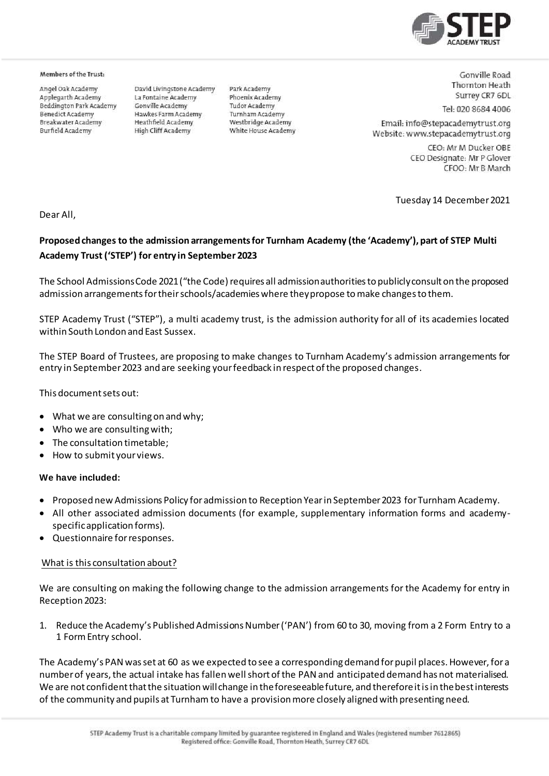

#### Members of the Trust:

Angel Oak Academy Applegarth Academy Beddington Park Academy **Benedict Academy** Breakwater Academy **Burfield Academy** 

David Livinostone Academy La Fontaine Academy Gonville Academy Hawkes Farm Academy Heathfield Academy High Cliff Academy

Park Academy Phoenix Academy **Tudor Academy** Turnham Academy Westbridge Academy White House Academy

Gonville Road **Thornton Heath** Surrey CR7 6DL

Tel: 020 8684 4006

Email: info@stepacademytrust.org Website: www.stepacademytrust.org

> CEO: Mr M Ducker OBE CEO Designate: Mr P Glover CFOO: Mr B March

Tuesday 14 December 2021

Dear All,

# **Proposed changes to the admission arrangements for Turnham Academy (the 'Academy'), part of STEP Multi Academy Trust ('STEP') for entry in September 2023**

The School Admissions Code 2021 ("the Code) requires all admission authorities to publicly consult on the proposed admission arrangements for their schools/academies where they propose to make changes to them.

STEP Academy Trust ("STEP"), a multi academy trust, is the admission authority for all of its academies located within South London and East Sussex.

The STEP Board of Trustees, are proposing to make changes to Turnham Academy's admission arrangements for entry in September 2023 and are seeking your feedback in respect of the proposed changes.

This document sets out:

- What we are consulting on and why;
- Who we are consulting with;
- The consultation timetable;
- How to submit your views.

#### **We have included:**

- Proposed new Admissions Policy for admission to Reception Year in September 2023 for Turnham Academy.
- All other associated admission documents (for example, supplementary information forms and academyspecific application forms).
- Questionnaire for responses.

#### What is this consultation about?

We are consulting on making the following change to the admission arrangements for the Academy for entry in Reception 2023:

1. Reduce the Academy's Published Admissions Number ('PAN') from 60 to 30, moving from a 2 Form Entry to a 1 Form Entry school.

The Academy's PAN was set at 60 as we expected to see a corresponding demand for pupil places. However, for a number of years, the actual intake has fallen well short of the PAN and anticipated demand has not materialised. We are not confident that the situation will change in the foreseeable future, and therefore it is in the best interests of the community and pupils at Turnham to have a provision more closely aligned with presenting need.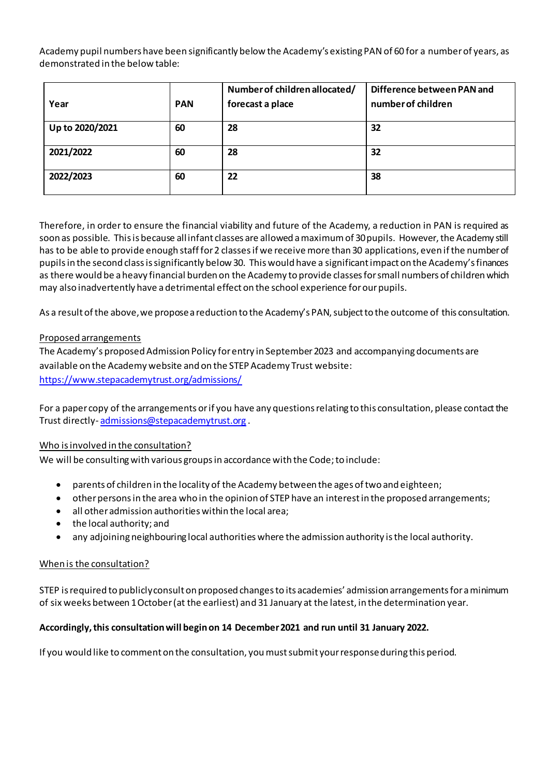Academy pupil numbers have been significantly below the Academy's existing PAN of 60 for a number of years, as demonstrated in the below table:

| Year            | <b>PAN</b> | Number of children allocated/<br>forecast a place | Difference between PAN and<br>number of children |
|-----------------|------------|---------------------------------------------------|--------------------------------------------------|
| Up to 2020/2021 | 60         | 28                                                | 32                                               |
| 2021/2022       | 60         | 28                                                | 32                                               |
| 2022/2023       | 60         | 22                                                | 38                                               |

Therefore, in order to ensure the financial viability and future of the Academy, a reduction in PAN is required as soon as possible. This is because all infant classes are allowed a maximum of 30 pupils. However, the Academy still has to be able to provide enough staff for 2 classes if we receive more than 30 applications, even if the number of pupils in the second class is significantly below 30. This would have a significant impact on the Academy's finances as there would be a heavy financial burden on the Academy to provide classes for small numbers of children which may also inadvertently have a detrimental effect on the school experience for our pupils.

As a result of the above, we propose a reduction to the Academy's PAN, subject to the outcome of this consultation.

# Proposed arrangements

The Academy's proposed Admission Policy for entry in September 2023 and accompanying documents are available on the Academy website and on the STEP Academy Trust website: <https://www.stepacademytrust.org/admissions/>

For a paper copy of the arrangements or if you have any questions relating to this consultation, please contact the Trust directly- [admissions@stepacademytrust.org](mailto:admissions@stepacademytrust.org) .

# Who is involved in the consultation?

We will be consulting with various groups in accordance with the Code; to include:

- parents of children in the locality of the Academy between the ages of two and eighteen;
- other persons in the area who in the opinion of STEP have an interest in the proposed arrangements;
- all other admission authorities within the local area;
- the local authority; and
- any adjoining neighbouring local authorities where the admission authority is the local authority.

# When is the consultation?

STEP is required to publicly consult on proposed changes to its academies' admission arrangements for a minimum of six weeks between 1 October (at the earliest) and 31 January at the latest, in the determination year.

# **Accordingly, this consultation will begin on 14 December 2021 and run until 31 January 2022.**

If you would like to comment on the consultation, you must submit your response during this period.